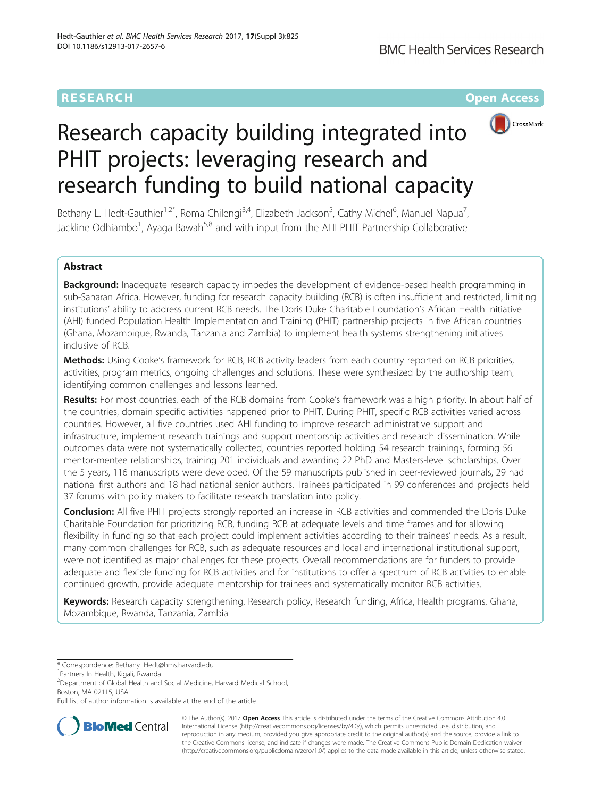## **RESEARCH CHEAR CHEAR CHEAR CHEAR CHEAR CHEAR CHEAR CHEAR CHEAR CHEAR CHEAR CHEAR CHEAR CHEAR CHEAR CHEAR CHEAR**



# Research capacity building integrated into PHIT projects: leveraging research and research funding to build national capacity

Bethany L. Hedt-Gauthier<sup>1,2\*</sup>, Roma Chilengi<sup>3,4</sup>, Elizabeth Jackson<sup>5</sup>, Cathy Michel<sup>6</sup>, Manuel Napua<sup>7</sup> , Jackline Odhiambo<sup>1</sup>, Ayaga Bawah<sup>5,8</sup> and with input from the AHI PHIT Partnership Collaborative

## Abstract

Background: Inadequate research capacity impedes the development of evidence-based health programming in sub-Saharan Africa. However, funding for research capacity building (RCB) is often insufficient and restricted, limiting institutions' ability to address current RCB needs. The Doris Duke Charitable Foundation's African Health Initiative (AHI) funded Population Health Implementation and Training (PHIT) partnership projects in five African countries (Ghana, Mozambique, Rwanda, Tanzania and Zambia) to implement health systems strengthening initiatives inclusive of RCB.

Methods: Using Cooke's framework for RCB, RCB activity leaders from each country reported on RCB priorities, activities, program metrics, ongoing challenges and solutions. These were synthesized by the authorship team, identifying common challenges and lessons learned.

Results: For most countries, each of the RCB domains from Cooke's framework was a high priority. In about half of the countries, domain specific activities happened prior to PHIT. During PHIT, specific RCB activities varied across countries. However, all five countries used AHI funding to improve research administrative support and infrastructure, implement research trainings and support mentorship activities and research dissemination. While outcomes data were not systematically collected, countries reported holding 54 research trainings, forming 56 mentor-mentee relationships, training 201 individuals and awarding 22 PhD and Masters-level scholarships. Over the 5 years, 116 manuscripts were developed. Of the 59 manuscripts published in peer-reviewed journals, 29 had national first authors and 18 had national senior authors. Trainees participated in 99 conferences and projects held 37 forums with policy makers to facilitate research translation into policy.

**Conclusion:** All five PHIT projects strongly reported an increase in RCB activities and commended the Doris Duke Charitable Foundation for prioritizing RCB, funding RCB at adequate levels and time frames and for allowing flexibility in funding so that each project could implement activities according to their trainees' needs. As a result, many common challenges for RCB, such as adequate resources and local and international institutional support, were not identified as major challenges for these projects. Overall recommendations are for funders to provide adequate and flexible funding for RCB activities and for institutions to offer a spectrum of RCB activities to enable continued growth, provide adequate mentorship for trainees and systematically monitor RCB activities.

Keywords: Research capacity strengthening, Research policy, Research funding, Africa, Health programs, Ghana, Mozambique, Rwanda, Tanzania, Zambia

\* Correspondence: [Bethany\\_Hedt@hms.harvard.edu](mailto:Bethany_Hedt@hms.harvard.edu) <sup>1</sup>

<sup>1</sup>Partners In Health, Kigali, Rwanda

2 Department of Global Health and Social Medicine, Harvard Medical School, Boston, MA 02115, USA

Full list of author information is available at the end of the article



© The Author(s). 2017 **Open Access** This article is distributed under the terms of the Creative Commons Attribution 4.0 International License [\(http://creativecommons.org/licenses/by/4.0/](http://creativecommons.org/licenses/by/4.0/)), which permits unrestricted use, distribution, and reproduction in any medium, provided you give appropriate credit to the original author(s) and the source, provide a link to the Creative Commons license, and indicate if changes were made. The Creative Commons Public Domain Dedication waiver [\(http://creativecommons.org/publicdomain/zero/1.0/](http://creativecommons.org/publicdomain/zero/1.0/)) applies to the data made available in this article, unless otherwise stated.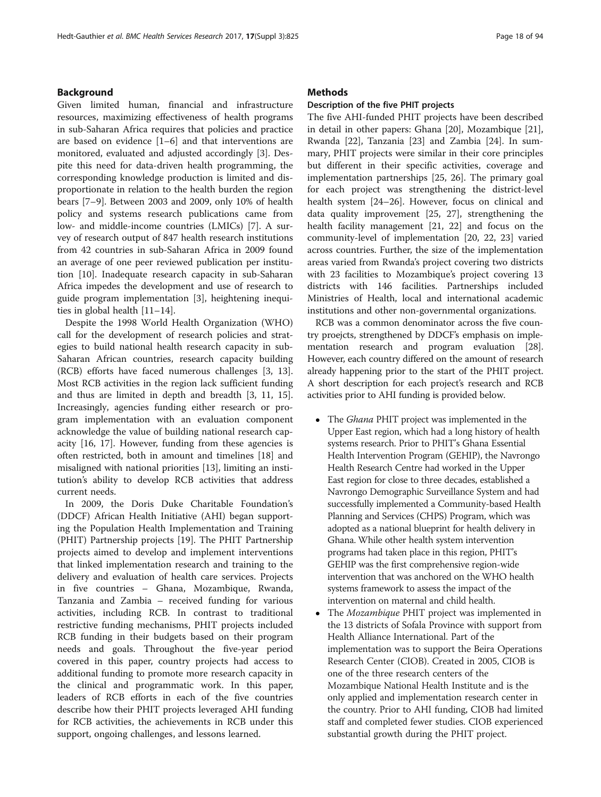#### Background

Given limited human, financial and infrastructure resources, maximizing effectiveness of health programs in sub-Saharan Africa requires that policies and practice are based on evidence [[1](#page-10-0)–[6](#page-10-0)] and that interventions are monitored, evaluated and adjusted accordingly [[3](#page-10-0)]. Despite this need for data-driven health programming, the corresponding knowledge production is limited and disproportionate in relation to the health burden the region bears [[7](#page-10-0)–[9](#page-11-0)]. Between 2003 and 2009, only 10% of health policy and systems research publications came from low- and middle-income countries (LMICs) [[7\]](#page-10-0). A survey of research output of 847 health research institutions from 42 countries in sub-Saharan Africa in 2009 found an average of one peer reviewed publication per institution [[10\]](#page-11-0). Inadequate research capacity in sub-Saharan Africa impedes the development and use of research to guide program implementation [[3\]](#page-10-0), heightening inequities in global health [\[11](#page-11-0)–[14\]](#page-11-0).

Despite the 1998 World Health Organization (WHO) call for the development of research policies and strategies to build national health research capacity in sub-Saharan African countries, research capacity building (RCB) efforts have faced numerous challenges [\[3](#page-10-0), [13](#page-11-0)]. Most RCB activities in the region lack sufficient funding and thus are limited in depth and breadth [\[3](#page-10-0), [11, 15](#page-11-0)]. Increasingly, agencies funding either research or program implementation with an evaluation component acknowledge the value of building national research capacity [[16, 17\]](#page-11-0). However, funding from these agencies is often restricted, both in amount and timelines [[18](#page-11-0)] and misaligned with national priorities [[13](#page-11-0)], limiting an institution's ability to develop RCB activities that address current needs.

In 2009, the Doris Duke Charitable Foundation's (DDCF) African Health Initiative (AHI) began supporting the Population Health Implementation and Training (PHIT) Partnership projects [[19\]](#page-11-0). The PHIT Partnership projects aimed to develop and implement interventions that linked implementation research and training to the delivery and evaluation of health care services. Projects in five countries – Ghana, Mozambique, Rwanda, Tanzania and Zambia – received funding for various activities, including RCB. In contrast to traditional restrictive funding mechanisms, PHIT projects included RCB funding in their budgets based on their program needs and goals. Throughout the five-year period covered in this paper, country projects had access to additional funding to promote more research capacity in the clinical and programmatic work. In this paper, leaders of RCB efforts in each of the five countries describe how their PHIT projects leveraged AHI funding for RCB activities, the achievements in RCB under this support, ongoing challenges, and lessons learned.

## **Methods**

#### Description of the five PHIT projects

The five AHI-funded PHIT projects have been described in detail in other papers: Ghana [\[20](#page-11-0)], Mozambique [\[21](#page-11-0)], Rwanda [[22\]](#page-11-0), Tanzania [[23](#page-11-0)] and Zambia [[24](#page-11-0)]. In summary, PHIT projects were similar in their core principles but different in their specific activities, coverage and implementation partnerships [[25, 26\]](#page-11-0). The primary goal for each project was strengthening the district-level health system [\[24](#page-11-0)–[26\]](#page-11-0). However, focus on clinical and data quality improvement [[25, 27\]](#page-11-0), strengthening the health facility management [\[21, 22\]](#page-11-0) and focus on the community-level of implementation [\[20, 22, 23](#page-11-0)] varied across countries. Further, the size of the implementation areas varied from Rwanda's project covering two districts with 23 facilities to Mozambique's project covering 13 districts with 146 facilities. Partnerships included Ministries of Health, local and international academic institutions and other non-governmental organizations.

RCB was a common denominator across the five country proejcts, strengthened by DDCF's emphasis on implementation research and program evaluation [[28](#page-11-0)]. However, each country differed on the amount of research already happening prior to the start of the PHIT project. A short description for each project's research and RCB activities prior to AHI funding is provided below.

- The *Ghana* PHIT project was implemented in the Upper East region, which had a long history of health systems research. Prior to PHIT's Ghana Essential Health Intervention Program (GEHIP), the Navrongo Health Research Centre had worked in the Upper East region for close to three decades, established a Navrongo Demographic Surveillance System and had successfully implemented a Community-based Health Planning and Services (CHPS) Program, which was adopted as a national blueprint for health delivery in Ghana. While other health system intervention programs had taken place in this region, PHIT's GEHIP was the first comprehensive region-wide intervention that was anchored on the WHO health systems framework to assess the impact of the intervention on maternal and child health.
- The Mozambique PHIT project was implemented in the 13 districts of Sofala Province with support from Health Alliance International. Part of the implementation was to support the Beira Operations Research Center (CIOB). Created in 2005, CIOB is one of the three research centers of the Mozambique National Health Institute and is the only applied and implementation research center in the country. Prior to AHI funding, CIOB had limited staff and completed fewer studies. CIOB experienced substantial growth during the PHIT project.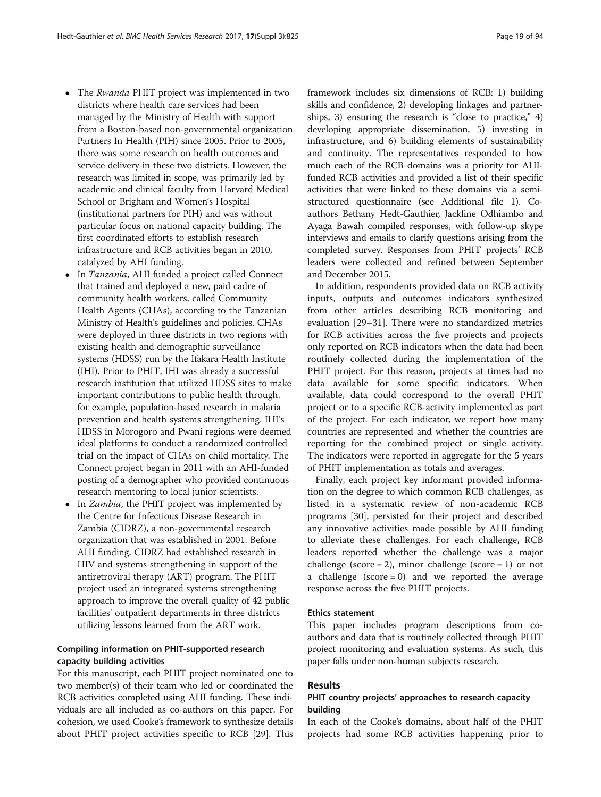- The Rwanda PHIT project was implemented in two districts where health care services had been managed by the Ministry of Health with support from a Boston-based non-governmental organization Partners In Health (PIH) since 2005. Prior to 2005,
- there was some research on health outcomes and service delivery in these two districts. However, the research was limited in scope, was primarily led by academic and clinical faculty from Harvard Medical School or Brigham and Women's Hospital (institutional partners for PIH) and was without particular focus on national capacity building. The first coordinated efforts to establish research infrastructure and RCB activities began in 2010, catalyzed by AHI funding.
- In Tanzania, AHI funded a project called Connect that trained and deployed a new, paid cadre of community health workers, called Community Health Agents (CHAs), according to the Tanzanian Ministry of Health's guidelines and policies. CHAs were deployed in three districts in two regions with existing health and demographic surveillance systems (HDSS) run by the Ifakara Health Institute (IHI). Prior to PHIT, IHI was already a successful research institution that utilized HDSS sites to make important contributions to public health through, for example, population-based research in malaria prevention and health systems strengthening. IHI's HDSS in Morogoro and Pwani regions were deemed ideal platforms to conduct a randomized controlled trial on the impact of CHAs on child mortality. The Connect project began in 2011 with an AHI-funded posting of a demographer who provided continuous research mentoring to local junior scientists.
- In Zambia, the PHIT project was implemented by the Centre for Infectious Disease Research in Zambia (CIDRZ), a non-governmental research organization that was established in 2001. Before AHI funding, CIDRZ had established research in HIV and systems strengthening in support of the antiretroviral therapy (ART) program. The PHIT project used an integrated systems strengthening approach to improve the overall quality of 42 public facilities' outpatient departments in three districts utilizing lessons learned from the ART work.

## Compiling information on PHIT-supported research capacity building activities

For this manuscript, each PHIT project nominated one to two member(s) of their team who led or coordinated the RCB activities completed using AHI funding. These individuals are all included as co-authors on this paper. For cohesion, we used Cooke's framework to synthesize details about PHIT project activities specific to RCB [[29](#page-11-0)]. This framework includes six dimensions of RCB: 1) building skills and confidence, 2) developing linkages and partnerships, 3) ensuring the research is "close to practice," 4) developing appropriate dissemination, 5) investing in infrastructure, and 6) building elements of sustainability and continuity. The representatives responded to how much each of the RCB domains was a priority for AHIfunded RCB activities and provided a list of their specific activities that were linked to these domains via a semistructured questionnaire (see Additional file [1](#page-10-0)). Coauthors Bethany Hedt-Gauthier, Jackline Odhiambo and Ayaga Bawah compiled responses, with follow-up skype interviews and emails to clarify questions arising from the completed survey. Responses from PHIT projects' RCB leaders were collected and refined between September and December 2015.

In addition, respondents provided data on RCB activity inputs, outputs and outcomes indicators synthesized from other articles describing RCB monitoring and evaluation [\[29](#page-11-0)–[31](#page-11-0)]. There were no standardized metrics for RCB activities across the five projects and projects only reported on RCB indicators when the data had been routinely collected during the implementation of the PHIT project. For this reason, projects at times had no data available for some specific indicators. When available, data could correspond to the overall PHIT project or to a specific RCB-activity implemented as part of the project. For each indicator, we report how many countries are represented and whether the countries are reporting for the combined project or single activity. The indicators were reported in aggregate for the 5 years of PHIT implementation as totals and averages.

Finally, each project key informant provided information on the degree to which common RCB challenges, as listed in a systematic review of non-academic RCB programs [[30](#page-11-0)], persisted for their project and described any innovative activities made possible by AHI funding to alleviate these challenges. For each challenge, RCB leaders reported whether the challenge was a major challenge (score = 2), minor challenge (score = 1) or not a challenge  $(score = 0)$  and we reported the average response across the five PHIT projects.

#### Ethics statement

This paper includes program descriptions from coauthors and data that is routinely collected through PHIT project monitoring and evaluation systems. As such, this paper falls under non-human subjects research.

## Results

## PHIT country projects' approaches to research capacity building

In each of the Cooke's domains, about half of the PHIT projects had some RCB activities happening prior to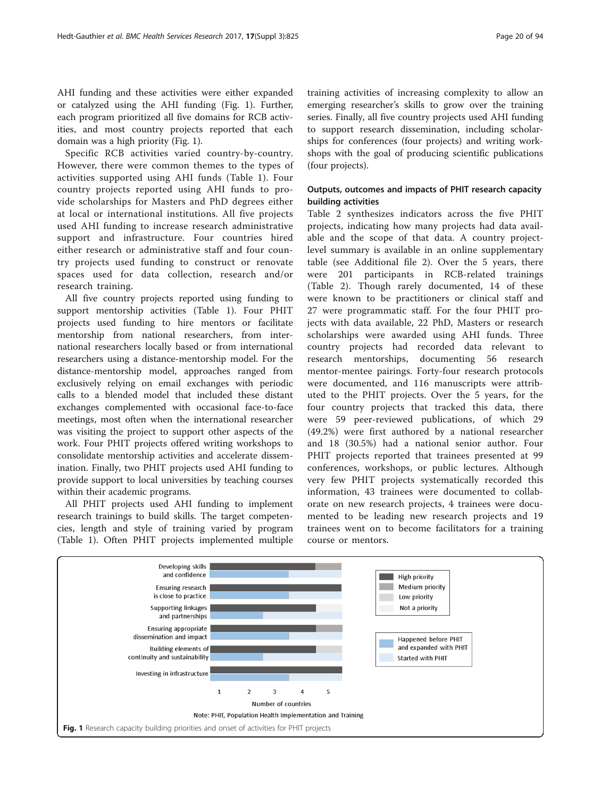AHI funding and these activities were either expanded or catalyzed using the AHI funding (Fig. 1). Further, each program prioritized all five domains for RCB activities, and most country projects reported that each domain was a high priority (Fig. 1).

Specific RCB activities varied country-by-country. However, there were common themes to the types of activities supported using AHI funds (Table [1\)](#page-4-0). Four country projects reported using AHI funds to provide scholarships for Masters and PhD degrees either at local or international institutions. All five projects used AHI funding to increase research administrative support and infrastructure. Four countries hired either research or administrative staff and four country projects used funding to construct or renovate spaces used for data collection, research and/or research training.

All five country projects reported using funding to support mentorship activities (Table [1](#page-4-0)). Four PHIT projects used funding to hire mentors or facilitate mentorship from national researchers, from international researchers locally based or from international researchers using a distance-mentorship model. For the distance-mentorship model, approaches ranged from exclusively relying on email exchanges with periodic calls to a blended model that included these distant exchanges complemented with occasional face-to-face meetings, most often when the international researcher was visiting the project to support other aspects of the work. Four PHIT projects offered writing workshops to consolidate mentorship activities and accelerate dissemination. Finally, two PHIT projects used AHI funding to provide support to local universities by teaching courses within their academic programs.

All PHIT projects used AHI funding to implement research trainings to build skills. The target competencies, length and style of training varied by program (Table [1](#page-4-0)). Often PHIT projects implemented multiple training activities of increasing complexity to allow an emerging researcher's skills to grow over the training series. Finally, all five country projects used AHI funding to support research dissemination, including scholarships for conferences (four projects) and writing workshops with the goal of producing scientific publications (four projects).

### Outputs, outcomes and impacts of PHIT research capacity building activities

Table [2](#page-6-0) synthesizes indicators across the five PHIT projects, indicating how many projects had data available and the scope of that data. A country projectlevel summary is available in an online supplementary table (see Additional file [2](#page-10-0)). Over the 5 years, there were 201 participants in RCB-related trainings (Table [2](#page-6-0)). Though rarely documented, 14 of these were known to be practitioners or clinical staff and 27 were programmatic staff. For the four PHIT projects with data available, 22 PhD, Masters or research scholarships were awarded using AHI funds. Three country projects had recorded data relevant to research mentorships, documenting 56 research mentor-mentee pairings. Forty-four research protocols were documented, and 116 manuscripts were attributed to the PHIT projects. Over the 5 years, for the four country projects that tracked this data, there were 59 peer-reviewed publications, of which 29 (49.2%) were first authored by a national researcher and 18 (30.5%) had a national senior author. Four PHIT projects reported that trainees presented at 99 conferences, workshops, or public lectures. Although very few PHIT projects systematically recorded this information, 43 trainees were documented to collaborate on new research projects, 4 trainees were documented to be leading new research projects and 19 trainees went on to become facilitators for a training course or mentors.

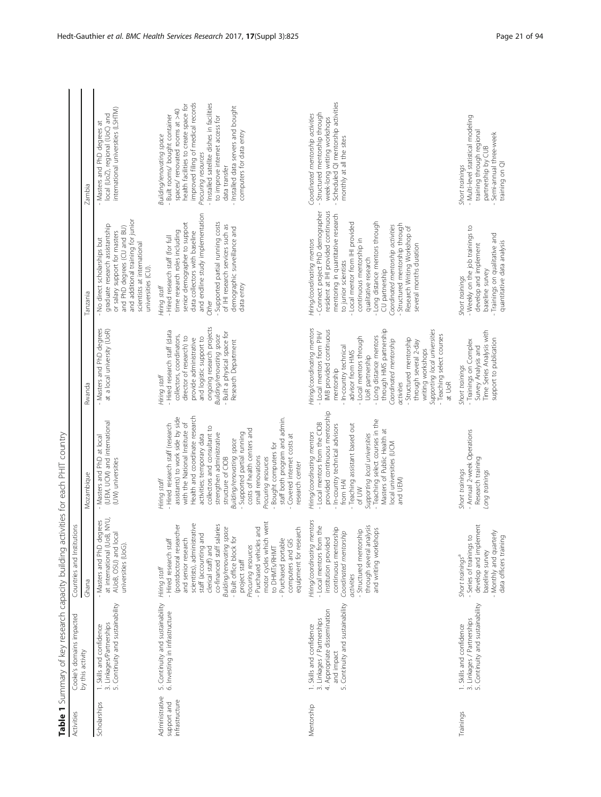| $\frac{1}{2}$<br>ו<br>ו<br>)<br>)<br>)<br>$\ddot{\phantom{0}}$<br>)<br>)<br>)<br>)<br>)<br>)<br>)<br><br><br><br><br><br><br><br><br><br>$\ddot{\phantom{a}}$<br>ļ<br>I<br>ノーフ きりりコ ヘリヒ<br> <br> <br> } |   |
|---------------------------------------------------------------------------------------------------------------------------------------------------------------------------------------------------------|---|
|                                                                                                                                                                                                         |   |
|                                                                                                                                                                                                         |   |
|                                                                                                                                                                                                         |   |
|                                                                                                                                                                                                         |   |
|                                                                                                                                                                                                         |   |
|                                                                                                                                                                                                         |   |
|                                                                                                                                                                                                         |   |
|                                                                                                                                                                                                         |   |
|                                                                                                                                                                                                         |   |
|                                                                                                                                                                                                         |   |
|                                                                                                                                                                                                         | ï |

<span id="page-4-0"></span>

| Activities                                      | Cooke's domains impacted                                                                                                                 | Countries and Institutions                                                                                                                                                                                                                                                                                                                                                                                                                         |                                                                                                                                                                                                                                                                                                                                                                                                                                                                                                                        |                                                                                                                                                                                                                                                                                                                                                                                                                                            |                                                                                                                                                                                                                                                                                                                                                                                                                                                   |                                                                                                                                                                                                                                                                                                                                                                        |
|-------------------------------------------------|------------------------------------------------------------------------------------------------------------------------------------------|----------------------------------------------------------------------------------------------------------------------------------------------------------------------------------------------------------------------------------------------------------------------------------------------------------------------------------------------------------------------------------------------------------------------------------------------------|------------------------------------------------------------------------------------------------------------------------------------------------------------------------------------------------------------------------------------------------------------------------------------------------------------------------------------------------------------------------------------------------------------------------------------------------------------------------------------------------------------------------|--------------------------------------------------------------------------------------------------------------------------------------------------------------------------------------------------------------------------------------------------------------------------------------------------------------------------------------------------------------------------------------------------------------------------------------------|---------------------------------------------------------------------------------------------------------------------------------------------------------------------------------------------------------------------------------------------------------------------------------------------------------------------------------------------------------------------------------------------------------------------------------------------------|------------------------------------------------------------------------------------------------------------------------------------------------------------------------------------------------------------------------------------------------------------------------------------------------------------------------------------------------------------------------|
|                                                 | by this activity                                                                                                                         | Ghana                                                                                                                                                                                                                                                                                                                                                                                                                                              | Mozambique                                                                                                                                                                                                                                                                                                                                                                                                                                                                                                             | Rwanda                                                                                                                                                                                                                                                                                                                                                                                                                                     | Tanzania                                                                                                                                                                                                                                                                                                                                                                                                                                          | Zambia                                                                                                                                                                                                                                                                                                                                                                 |
| Scholarships                                    | 5. Continuity and sustainability<br>3. Linkages/Partnerships<br>1. Skills and confidence                                                 | at international (UoB, NYU,<br>- Masters and PhD degrees<br>AUoB, OSU) and local<br>universities (UoG).                                                                                                                                                                                                                                                                                                                                            | (UEM, UCM) and international<br>- Masters and PhD at local<br>(UW) universities                                                                                                                                                                                                                                                                                                                                                                                                                                        | - Masters and PhD degrees<br>at a local university (UoR)                                                                                                                                                                                                                                                                                                                                                                                   | and additional training for junior<br>graduate research assistantship<br>and PhD degrees (CU and BU)<br>or salary support for masters<br>- No direct scholarships but<br>scientists at international<br>universities (CU).                                                                                                                                                                                                                        | international universities (LSHTM)<br>local (UoZ), regional (UoC) and<br>- Masters and PhD degrees at                                                                                                                                                                                                                                                                  |
| Administrative<br>infrastructure<br>support and | 5. Continuity and sustainability<br>6. Investing in infrastructure                                                                       | motor cycles which went<br>scientists), administrative<br>co-financed staff salaries<br>(postdoctoral researcher<br>Building/renovating space<br>equipment for research<br>Purchased vehicles and<br>staff (accounting and<br>- Built office block for<br>and senior research<br>- Hired research staff<br>Purchased portable<br>computers and GIS<br>Procuring resources<br>clerical staff) and<br>to DHMTs/RHMT<br>project staff<br>Hiring staff | Health and coordinate research<br>assistants) to work side by side<br>staff both program and admin.<br>with the National Institute of<br>- Hired research staff (research<br>collectors and consultant to<br>costs of health centers and<br>Supported partial running<br>strengthen administrative<br>activities; temporary data<br>Covered internet costs at<br>Building/renovating space<br>Bought computers for<br>small renovations<br>structure of CIOB<br>Procuring resources<br>research center<br>Hiring staff | ongoing research projects<br>- Hired research staff (data<br>- Built a physical space for<br>Building/renovating space<br>collectors, coordinators,<br>director of research) to<br>and logistic support to<br>provide administrative<br>Research Department<br>Hiring staff                                                                                                                                                                | and endline study implementation<br>senior demographer to support<br>- Supported partial running costs<br>of IHI research services such as<br>demographic surveillance and<br>time research roles including<br>data collectors with baseline<br>- Hired research staff (for full<br>data entry<br><i>liring</i> staff<br>Other                                                                                                                    | improved filing of medical records<br>- Installed satellite dishes in facilities<br>health facilities to create space for<br>Installed data servers and bought<br>spaces/ renovated rooms at >40<br>to improve internet access for<br>- Built rooms/ bought container<br>computers for data entry<br>Building/renovating space<br>Procuring resources<br>data transfer |
| Mentorship                                      | 5. Continuity and sustainability<br>4. Appropriate dissemination<br>3. Linkages / Partnerships<br>1. Skills and confidence<br>and impact | Hiring/coordinating mentors<br>- Local mentors from the<br>through several analysis<br>continuous mentorship<br>and writing workshops<br>- Structured mentorship<br>Coordinated mentorship<br>institution provided<br>activities                                                                                                                                                                                                                   | provided continuous mentorship<br>Teaching select courses in the<br>- Local mentors from the CIOB<br>Teaching assistant based out<br>In-country technical advisors<br>Masters of Public Health at<br>Hiring/coordinating mentors<br>Supporting local universities<br>local universities (UCM<br>and UEM)<br>from HAI<br>of UW                                                                                                                                                                                          | Hiring/coordinating mentors<br>through HMS partnership<br>IMB provided continuous<br>Supporting local universities<br>- Local mentors from PIH/<br>- Teaching select courses<br>- Long distance mentors<br>- Local mentors through<br>Structured mentorship<br>Coordinated mentorship<br>through several 2-day<br>- In-country technical<br>writing workshops<br>advisor from HMS<br>UoR partnership<br>mentorship<br>activities<br>at UoR | Connect project PhD demographer<br>resident at IHI provided continuous<br>mentoring in quantitative research<br>- Local mentor from IHI provided<br>- Long distance mentors through<br>Structured mentorship through<br>Coordinated mentorship activities<br>Research Writing Workshop of<br>Hiring/coordinating mentors<br>continuous mentorship in<br>several months duration<br>qualitative research<br>to junior scientists<br>CU partnership | - Scheduled QI mentorship activities<br>- Structured mentorship through<br>Coordinated mentorship activities<br>week-long writing workshops<br>monthly at all the sites                                                                                                                                                                                                |
| Trainings                                       | 5. Continuity and sustainability<br>3. Linkages / Partnerships<br>1. Skills and confidence                                               | develop and implement<br>- Monthly and quarterly<br>- Series of trainings to<br>data officers training<br>baseline survey<br>Short trainings <sup>a</sup>                                                                                                                                                                                                                                                                                          | - Annual 2-week Operations<br>Research training<br>Long trainings<br>Short trainings                                                                                                                                                                                                                                                                                                                                                                                                                                   | Time Series Analysis with<br>support to publication<br>- Trainings on Complex<br>Survey Analysis and<br>Short trainings                                                                                                                                                                                                                                                                                                                    | - Weekly on the job trainings to<br>Trainings on qualitative and<br>quantitative data analysis<br>develop and implement<br>baseline survey<br>Short trainings                                                                                                                                                                                                                                                                                     | - Multi-level statistical modeling<br>training through regional<br>Semi-annual three-week<br>partnership by CUB<br>training on QI<br>Short trainings                                                                                                                                                                                                                   |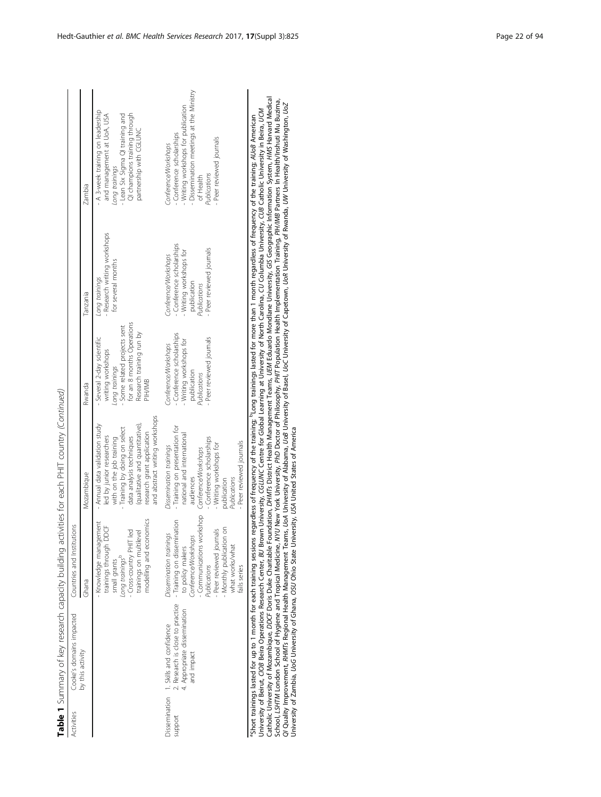| I                         |               |
|---------------------------|---------------|
| $\mathbf{r}$<br>)<br>5    |               |
| J                         | $\frac{1}{2}$ |
| <br> <br> <br>ļ<br>i<br>1 |               |
| į                         | i             |
| l                         |               |
| Table 1                   | ì             |

| Activities | Cooke's domains impacted                                                                                                 | Countries and Institutions                                                                                                                                                                                                               |                                                                                                                                                                                                                                                       |                                                                                                                                                                             |                                                                                                                                     |                                                                                                                                                                                         |
|------------|--------------------------------------------------------------------------------------------------------------------------|------------------------------------------------------------------------------------------------------------------------------------------------------------------------------------------------------------------------------------------|-------------------------------------------------------------------------------------------------------------------------------------------------------------------------------------------------------------------------------------------------------|-----------------------------------------------------------------------------------------------------------------------------------------------------------------------------|-------------------------------------------------------------------------------------------------------------------------------------|-----------------------------------------------------------------------------------------------------------------------------------------------------------------------------------------|
|            | by this activity                                                                                                         | Ghana                                                                                                                                                                                                                                    | Mozambique                                                                                                                                                                                                                                            | Rwanda                                                                                                                                                                      | Tanzania                                                                                                                            | Zambia                                                                                                                                                                                  |
|            |                                                                                                                          | modelling and economics<br>Knowledge management<br>trainings through DDCF<br>$\frac{1}{2}$<br>trainings on multilevel<br>- Cross-country PHIT<br>Long trainings <sup>b</sup><br>small grants                                             | and abstract writing workshops<br>(qualitative and quantitative),<br>Annual data validation study<br>- Training by doing on select<br>research grant application<br>led by junior researchers<br>data analysis techniques<br>with on the job training | for an 8 months Operations<br>- Some related projects sent<br>Research training run by<br>Several 2-day scientific<br>writing workshops<br>Long trainings<br><b>PIH/IMB</b> | Research writing workshops<br>for several months<br>Long trainings                                                                  | A 3-week training on leadership<br>and management at UoA, USA<br>- Lean Six Sigma QI training and<br>Q champions training through<br>partnership with CGLUNC<br>ong trainings           |
| support    | 2. Research is close to practice<br>4. Appropriate dissemination<br>Dissemination 1. Skills and confidence<br>and impact | Communications workshop<br>- Training on dissemination<br>- Monthly publication on<br>- Peer reviewed journals<br>Dissemination trainings<br>Conference/Workshops<br>what works/what<br>to policy makers<br>Publications<br>fails series | - Training on presentation for<br>national and international<br>Conference scholarships<br>- Peer reviewed journals<br>Writing workshops for<br>Dissemination trainings<br>Conference/Workshops<br>audiences<br>Publications<br>publication           | - Conference scholarships<br>- Peer reviewed journals<br>Writing workshops for<br>Conference/Workshops<br>publication<br>Publications                                       | Conference scholarships<br>- Peer reviewed journals<br>Writing workshops for<br>Conference/Workshops<br>publication<br>Publications | Dissemination meetings at the Ministry<br>Writing workshops for publication<br>Conference scholarships<br>- Peer reviewed journals<br>Conference/Workshops<br>Publications<br>of Health |

"Short trainings lasted for up to 1 month for each training sessions regardless of frequency of the trainings and month regardless of frequency of the trainings aloog American<br>University of Beira Operations Research Center Catholic University of Mozambique, DDCF Doris Duke Charitable Foundation, DHMTs District Health Management Teams, UEM Eduardo Mondlane University, GIS Geographic Information System, HMS Harvard Medical School, LSHTM London School of Hygiene and Tropical Medicine, NYU New York University, PhD Doctor of Philosophy, PHIT Population Health Implementation Training, PIH/IMB Partners In Health/Inshuti Mu Buzima, QI Quality Improvement, RHMTs Regional Health Management Teams, UoA University of Alabama, UoB University of Basel, UoC University of Capetown, UoR University of Rwanda, UW University of Washington, UoZ University of Beirut, CIOB Beira Operations Research Center, BU Brown University, CGLUNC Centre for Global Learning at University of North Carolina, CU Columbia University, CUB Catholic University in Beira, UCM University of Zambia, UoG University of Ghana, OSU Ohio State University, USA United States of America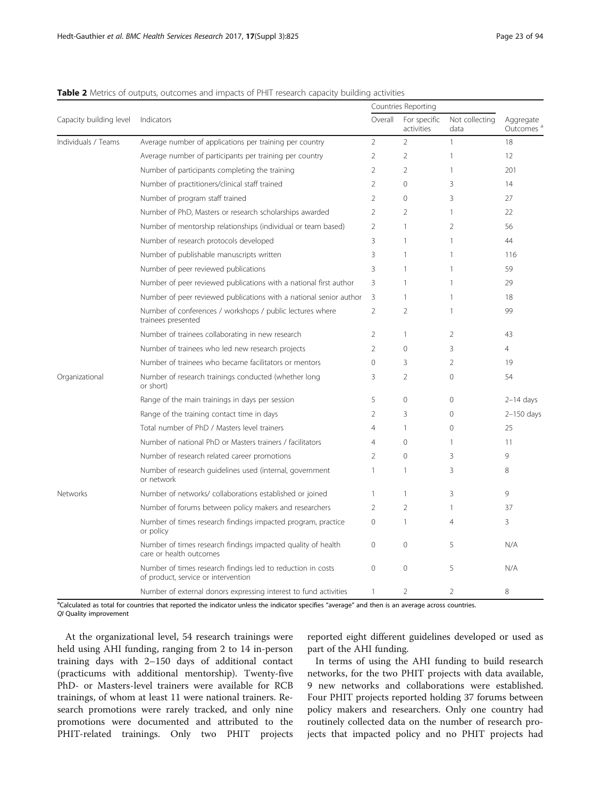|                         |                                                                                                    | Countries Reporting |                            |                        |                                    |
|-------------------------|----------------------------------------------------------------------------------------------------|---------------------|----------------------------|------------------------|------------------------------------|
| Capacity building level | Indicators                                                                                         | Overall             | For specific<br>activities | Not collecting<br>data | Aggregate<br>Outcomes <sup>a</sup> |
| Individuals / Teams     | Average number of applications per training per country                                            | $\overline{2}$      | $\overline{2}$             | 1                      | 18                                 |
|                         | Average number of participants per training per country                                            | $\overline{2}$      | $\overline{2}$             | 1                      | 12                                 |
|                         | Number of participants completing the training                                                     | $\overline{2}$      | $\overline{2}$             | 1                      | 201                                |
|                         | Number of practitioners/clinical staff trained                                                     | $\overline{2}$      | $\mathbf{0}$               | 3                      | 14                                 |
|                         | Number of program staff trained                                                                    | $\overline{2}$      | $\Omega$                   | 3                      | 27                                 |
|                         | Number of PhD, Masters or research scholarships awarded                                            | $\overline{2}$      | $\overline{2}$             | 1                      | 22                                 |
|                         | Number of mentorship relationships (individual or team based)                                      | $\overline{2}$      | $\overline{1}$             | 2                      | 56                                 |
|                         | Number of research protocols developed                                                             | 3                   | 1                          | 1                      | 44                                 |
|                         | Number of publishable manuscripts written                                                          | 3                   | 1                          | 1                      | 116                                |
|                         | Number of peer reviewed publications                                                               | 3                   | 1                          | 1                      | 59                                 |
|                         | Number of peer reviewed publications with a national first author                                  | 3                   | $\overline{1}$             | 1                      | 29                                 |
|                         | Number of peer reviewed publications with a national senior author                                 | 3                   | 1                          | 1                      | 18                                 |
|                         | Number of conferences / workshops / public lectures where<br>trainees presented                    | $\overline{2}$      | $\overline{2}$             | 1                      | 99                                 |
|                         | Number of trainees collaborating in new research                                                   | 2                   | $\overline{1}$             | 2                      | 43                                 |
|                         | Number of trainees who led new research projects                                                   | $\overline{2}$      | $\mathbf{0}$               | 3                      | $\overline{4}$                     |
|                         | Number of trainees who became facilitators or mentors                                              | $\Omega$            | 3                          | 2                      | 19                                 |
| Organizational          | Number of research trainings conducted (whether long<br>or short)                                  | 3                   | $\overline{2}$             | $\mathbf{0}$           | 54                                 |
|                         | Range of the main trainings in days per session                                                    | 5                   | $\Omega$                   | $\Omega$               | $2-14$ days                        |
|                         | Range of the training contact time in days                                                         | 2                   | 3                          | $\mathbf 0$            | $2-150$ days                       |
|                         | Total number of PhD / Masters level trainers                                                       | $\overline{4}$      | 1                          | $\Omega$               | 25                                 |
|                         | Number of national PhD or Masters trainers / facilitators                                          | 4                   | $\Omega$                   | 1                      | 11                                 |
|                         | Number of research related career promotions                                                       | 2                   | $\mathbf{0}$               | 3                      | 9                                  |
|                         | Number of research quidelines used (internal, government<br>or network                             | 1                   | 1                          | 3                      | 8                                  |
| Networks                | Number of networks/collaborations established or joined                                            | 1                   | $\mathbf{1}$               | 3                      | 9                                  |
|                         | Number of forums between policy makers and researchers                                             | 2                   | $\overline{2}$             | 1                      | 37                                 |
|                         | Number of times research findings impacted program, practice<br>or policy                          | $\mathbf 0$         | $\mathbf{1}$               | $\overline{4}$         | 3                                  |
|                         | Number of times research findings impacted quality of health<br>care or health outcomes            | $\mathbf 0$         | $\mathbf{0}$               | 5                      | N/A                                |
|                         | Number of times research findings led to reduction in costs<br>of product, service or intervention | $\Omega$            | $\Omega$                   | 5                      | N/A                                |
|                         | Number of external donors expressing interest to fund activities                                   | 1                   | $\overline{2}$             | $\overline{2}$         | 8                                  |

#### <span id="page-6-0"></span>Table 2 Metrics of outputs, outcomes and impacts of PHIT research capacity building activities

<sup>a</sup>Calculated as total for countries that reported the indicator unless the indicator specifies "average" and then is an average across countries. QI Quality improvement

At the organizational level, 54 research trainings were held using AHI funding, ranging from 2 to 14 in-person training days with 2–150 days of additional contact (practicums with additional mentorship). Twenty-five PhD- or Masters-level trainers were available for RCB trainings, of whom at least 11 were national trainers. Research promotions were rarely tracked, and only nine promotions were documented and attributed to the PHIT-related trainings. Only two PHIT projects

reported eight different guidelines developed or used as part of the AHI funding.

In terms of using the AHI funding to build research networks, for the two PHIT projects with data available, 9 new networks and collaborations were established. Four PHIT projects reported holding 37 forums between policy makers and researchers. Only one country had routinely collected data on the number of research projects that impacted policy and no PHIT projects had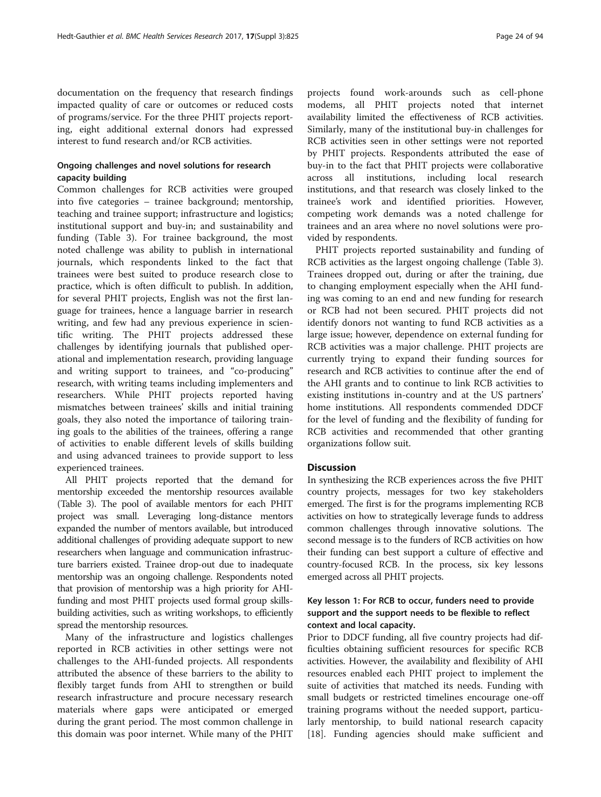documentation on the frequency that research findings impacted quality of care or outcomes or reduced costs of programs/service. For the three PHIT projects reporting, eight additional external donors had expressed interest to fund research and/or RCB activities.

## Ongoing challenges and novel solutions for research capacity building

Common challenges for RCB activities were grouped into five categories – trainee background; mentorship, teaching and trainee support; infrastructure and logistics; institutional support and buy-in; and sustainability and funding (Table [3](#page-8-0)). For trainee background, the most noted challenge was ability to publish in international journals, which respondents linked to the fact that trainees were best suited to produce research close to practice, which is often difficult to publish. In addition, for several PHIT projects, English was not the first language for trainees, hence a language barrier in research writing, and few had any previous experience in scientific writing. The PHIT projects addressed these challenges by identifying journals that published operational and implementation research, providing language and writing support to trainees, and "co-producing" research, with writing teams including implementers and researchers. While PHIT projects reported having mismatches between trainees' skills and initial training goals, they also noted the importance of tailoring training goals to the abilities of the trainees, offering a range of activities to enable different levels of skills building and using advanced trainees to provide support to less experienced trainees.

All PHIT projects reported that the demand for mentorship exceeded the mentorship resources available (Table [3](#page-8-0)). The pool of available mentors for each PHIT project was small. Leveraging long-distance mentors expanded the number of mentors available, but introduced additional challenges of providing adequate support to new researchers when language and communication infrastructure barriers existed. Trainee drop-out due to inadequate mentorship was an ongoing challenge. Respondents noted that provision of mentorship was a high priority for AHIfunding and most PHIT projects used formal group skillsbuilding activities, such as writing workshops, to efficiently spread the mentorship resources.

Many of the infrastructure and logistics challenges reported in RCB activities in other settings were not challenges to the AHI-funded projects. All respondents attributed the absence of these barriers to the ability to flexibly target funds from AHI to strengthen or build research infrastructure and procure necessary research materials where gaps were anticipated or emerged during the grant period. The most common challenge in this domain was poor internet. While many of the PHIT

projects found work-arounds such as cell-phone modems, all PHIT projects noted that internet availability limited the effectiveness of RCB activities. Similarly, many of the institutional buy-in challenges for RCB activities seen in other settings were not reported by PHIT projects. Respondents attributed the ease of buy-in to the fact that PHIT projects were collaborative across all institutions, including local research institutions, and that research was closely linked to the trainee's work and identified priorities. However, competing work demands was a noted challenge for trainees and an area where no novel solutions were provided by respondents.

PHIT projects reported sustainability and funding of RCB activities as the largest ongoing challenge (Table [3](#page-8-0)). Trainees dropped out, during or after the training, due to changing employment especially when the AHI funding was coming to an end and new funding for research or RCB had not been secured. PHIT projects did not identify donors not wanting to fund RCB activities as a large issue; however, dependence on external funding for RCB activities was a major challenge. PHIT projects are currently trying to expand their funding sources for research and RCB activities to continue after the end of the AHI grants and to continue to link RCB activities to existing institutions in-country and at the US partners' home institutions. All respondents commended DDCF for the level of funding and the flexibility of funding for RCB activities and recommended that other granting organizations follow suit.

#### **Discussion**

In synthesizing the RCB experiences across the five PHIT country projects, messages for two key stakeholders emerged. The first is for the programs implementing RCB activities on how to strategically leverage funds to address common challenges through innovative solutions. The second message is to the funders of RCB activities on how their funding can best support a culture of effective and country-focused RCB. In the process, six key lessons emerged across all PHIT projects.

## Key lesson 1: For RCB to occur, funders need to provide support and the support needs to be flexible to reflect context and local capacity.

Prior to DDCF funding, all five country projects had difficulties obtaining sufficient resources for specific RCB activities. However, the availability and flexibility of AHI resources enabled each PHIT project to implement the suite of activities that matched its needs. Funding with small budgets or restricted timelines encourage one-off training programs without the needed support, particularly mentorship, to build national research capacity [[18\]](#page-11-0). Funding agencies should make sufficient and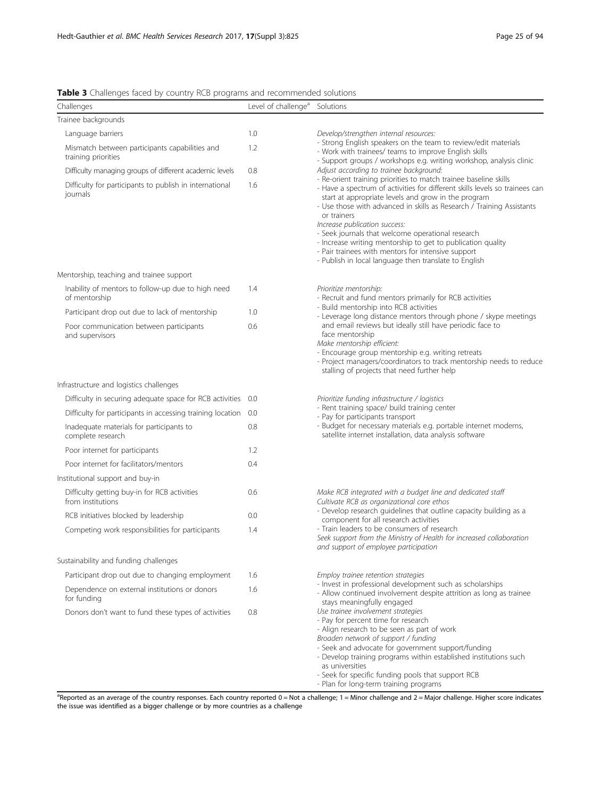<span id="page-8-0"></span>

|  |  |  | <b>Table 3</b> Challenges faced by country RCB programs and recommended solutions |  |
|--|--|--|-----------------------------------------------------------------------------------|--|
|  |  |  |                                                                                   |  |

| Challenges                                                            | Level of challenge <sup>a</sup> Solutions |                                                                                                                                                                                                                                                                                                                                                                                                                                                                                                                                                                    |
|-----------------------------------------------------------------------|-------------------------------------------|--------------------------------------------------------------------------------------------------------------------------------------------------------------------------------------------------------------------------------------------------------------------------------------------------------------------------------------------------------------------------------------------------------------------------------------------------------------------------------------------------------------------------------------------------------------------|
| Trainee backgrounds                                                   |                                           |                                                                                                                                                                                                                                                                                                                                                                                                                                                                                                                                                                    |
| Language barriers                                                     | 1.0                                       | Develop/strengthen internal resources:                                                                                                                                                                                                                                                                                                                                                                                                                                                                                                                             |
| Mismatch between participants capabilities and<br>training priorities | 1.2                                       | - Strong English speakers on the team to review/edit materials<br>- Work with trainees/ teams to improve English skills<br>- Support groups / workshops e.g. writing workshop, analysis clinic                                                                                                                                                                                                                                                                                                                                                                     |
| Difficulty managing groups of different academic levels               | 0.8                                       | Adjust according to trainee background:                                                                                                                                                                                                                                                                                                                                                                                                                                                                                                                            |
| Difficulty for participants to publish in international<br>journals   | 1.6                                       | - Re-orient training priorities to match trainee baseline skills<br>- Have a spectrum of activities for different skills levels so trainees can<br>start at appropriate levels and grow in the program<br>- Use those with advanced in skills as Research / Training Assistants<br>or trainers<br>Increase publication success:<br>- Seek journals that welcome operational research<br>- Increase writing mentorship to get to publication quality<br>- Pair trainees with mentors for intensive support<br>- Publish in local language then translate to English |
| Mentorship, teaching and trainee support                              |                                           |                                                                                                                                                                                                                                                                                                                                                                                                                                                                                                                                                                    |
| Inability of mentors to follow-up due to high need<br>of mentorship   | 1.4                                       | Prioritize mentorship:<br>- Recruit and fund mentors primarily for RCB activities                                                                                                                                                                                                                                                                                                                                                                                                                                                                                  |
| Participant drop out due to lack of mentorship                        | 1.0                                       | - Build mentorship into RCB activities                                                                                                                                                                                                                                                                                                                                                                                                                                                                                                                             |
| Poor communication between participants<br>and supervisors            | 0.6                                       | - Leverage long distance mentors through phone / skype meetings<br>and email reviews but ideally still have periodic face to<br>face mentorship<br>Make mentorship efficient:<br>- Encourage group mentorship e.g. writing retreats<br>- Project managers/coordinators to track mentorship needs to reduce<br>stalling of projects that need further help                                                                                                                                                                                                          |
| Infrastructure and logistics challenges                               |                                           |                                                                                                                                                                                                                                                                                                                                                                                                                                                                                                                                                                    |
| Difficulty in securing adequate space for RCB activities              | 0.0                                       | Prioritize funding infrastructure / logistics                                                                                                                                                                                                                                                                                                                                                                                                                                                                                                                      |
| Difficulty for participants in accessing training location 0.0        |                                           | - Rent training space/ build training center<br>- Pay for participants transport                                                                                                                                                                                                                                                                                                                                                                                                                                                                                   |
| Inadequate materials for participants to<br>complete research         | 0.8                                       | - Budget for necessary materials e.g. portable internet modems,<br>satellite internet installation, data analysis software                                                                                                                                                                                                                                                                                                                                                                                                                                         |
| Poor internet for participants                                        | 1.2                                       |                                                                                                                                                                                                                                                                                                                                                                                                                                                                                                                                                                    |
| Poor internet for facilitators/mentors                                | 0.4                                       |                                                                                                                                                                                                                                                                                                                                                                                                                                                                                                                                                                    |
| Institutional support and buy-in                                      |                                           |                                                                                                                                                                                                                                                                                                                                                                                                                                                                                                                                                                    |
| Difficulty getting buy-in for RCB activities<br>from institutions     | 0.6                                       | Make RCB integrated with a budget line and dedicated staff<br>Cultivate RCB as organizational core ethos                                                                                                                                                                                                                                                                                                                                                                                                                                                           |
| RCB initiatives blocked by leadership                                 | 0.0                                       | - Develop research guidelines that outline capacity building as a<br>component for all research activities                                                                                                                                                                                                                                                                                                                                                                                                                                                         |
| Competing work responsibilities for participants                      | 1.4                                       | - Train leaders to be consumers of research<br>Seek support from the Ministry of Health for increased collaboration<br>and support of employee participation                                                                                                                                                                                                                                                                                                                                                                                                       |
| Sustainability and funding challenges                                 |                                           |                                                                                                                                                                                                                                                                                                                                                                                                                                                                                                                                                                    |
| Participant drop out due to changing employment                       | 1.6                                       | Employ trainee retention strategies                                                                                                                                                                                                                                                                                                                                                                                                                                                                                                                                |
| Dependence on external institutions or donors<br>for funding          | 1.6                                       | - Invest in professional development such as scholarships<br>- Allow continued involvement despite attrition as long as trainee<br>stays meaningfully engaged                                                                                                                                                                                                                                                                                                                                                                                                      |
| Donors don't want to fund these types of activities                   | 0.8                                       | Use trainee involvement strategies<br>- Pay for percent time for research<br>- Align research to be seen as part of work<br>Broaden network of support / funding<br>- Seek and advocate for government support/funding<br>- Develop training programs within established institutions such<br>as universities<br>- Seek for specific funding pools that support RCB<br>- Plan for long-term training programs                                                                                                                                                      |

<sup>a</sup>Reported as an average of the country responses. Each country reported 0 = Not a challenge; 1 = Minor challenge and 2 = Major challenge. Higher score indicates the issue was identified as a bigger challenge or by more countries as a challenge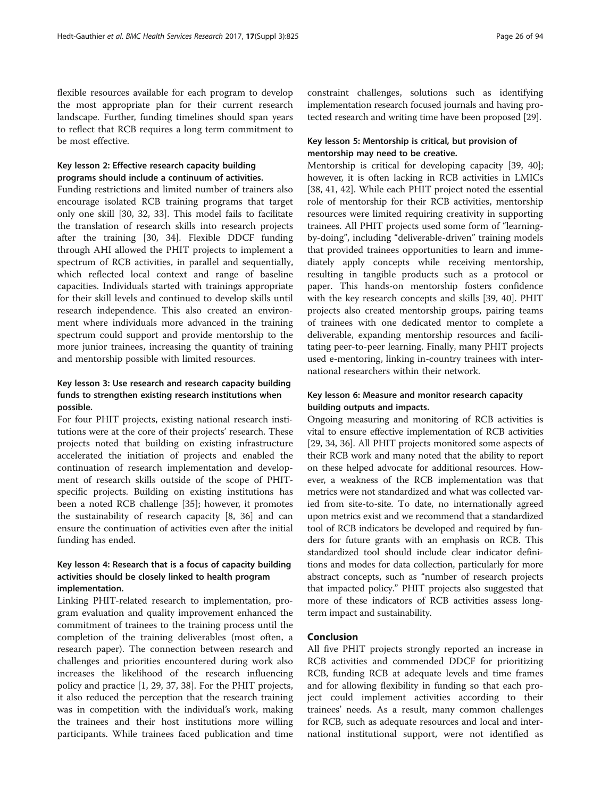flexible resources available for each program to develop the most appropriate plan for their current research landscape. Further, funding timelines should span years to reflect that RCB requires a long term commitment to be most effective.

## Key lesson 2: Effective research capacity building programs should include a continuum of activities.

Funding restrictions and limited number of trainers also encourage isolated RCB training programs that target only one skill [[30, 32, 33\]](#page-11-0). This model fails to facilitate the translation of research skills into research projects after the training [\[30, 34](#page-11-0)]. Flexible DDCF funding through AHI allowed the PHIT projects to implement a spectrum of RCB activities, in parallel and sequentially, which reflected local context and range of baseline capacities. Individuals started with trainings appropriate for their skill levels and continued to develop skills until research independence. This also created an environment where individuals more advanced in the training spectrum could support and provide mentorship to the more junior trainees, increasing the quantity of training and mentorship possible with limited resources.

## Key lesson 3: Use research and research capacity building funds to strengthen existing research institutions when possible.

For four PHIT projects, existing national research institutions were at the core of their projects' research. These projects noted that building on existing infrastructure accelerated the initiation of projects and enabled the continuation of research implementation and development of research skills outside of the scope of PHITspecific projects. Building on existing institutions has been a noted RCB challenge [\[35](#page-11-0)]; however, it promotes the sustainability of research capacity [\[8,](#page-10-0) [36](#page-11-0)] and can ensure the continuation of activities even after the initial funding has ended.

## Key lesson 4: Research that is a focus of capacity building activities should be closely linked to health program implementation.

Linking PHIT-related research to implementation, program evaluation and quality improvement enhanced the commitment of trainees to the training process until the completion of the training deliverables (most often, a research paper). The connection between research and challenges and priorities encountered during work also increases the likelihood of the research influencing policy and practice [[1,](#page-10-0) [29, 37, 38](#page-11-0)]. For the PHIT projects, it also reduced the perception that the research training was in competition with the individual's work, making the trainees and their host institutions more willing participants. While trainees faced publication and time

constraint challenges, solutions such as identifying implementation research focused journals and having protected research and writing time have been proposed [[29](#page-11-0)].

## Key lesson 5: Mentorship is critical, but provision of mentorship may need to be creative.

Mentorship is critical for developing capacity [[39, 40](#page-11-0)]; however, it is often lacking in RCB activities in LMICs [[38, 41, 42](#page-11-0)]. While each PHIT project noted the essential role of mentorship for their RCB activities, mentorship resources were limited requiring creativity in supporting trainees. All PHIT projects used some form of "learningby-doing", including "deliverable-driven" training models that provided trainees opportunities to learn and immediately apply concepts while receiving mentorship, resulting in tangible products such as a protocol or paper. This hands-on mentorship fosters confidence with the key research concepts and skills [[39, 40\]](#page-11-0). PHIT projects also created mentorship groups, pairing teams of trainees with one dedicated mentor to complete a deliverable, expanding mentorship resources and facilitating peer-to-peer learning. Finally, many PHIT projects used e-mentoring, linking in-country trainees with international researchers within their network.

#### Key lesson 6: Measure and monitor research capacity building outputs and impacts.

Ongoing measuring and monitoring of RCB activities is vital to ensure effective implementation of RCB activities [[29](#page-11-0), [34](#page-11-0), [36\]](#page-11-0). All PHIT projects monitored some aspects of their RCB work and many noted that the ability to report on these helped advocate for additional resources. However, a weakness of the RCB implementation was that metrics were not standardized and what was collected varied from site-to-site. To date, no internationally agreed upon metrics exist and we recommend that a standardized tool of RCB indicators be developed and required by funders for future grants with an emphasis on RCB. This standardized tool should include clear indicator definitions and modes for data collection, particularly for more abstract concepts, such as "number of research projects that impacted policy." PHIT projects also suggested that more of these indicators of RCB activities assess longterm impact and sustainability.

## Conclusion

All five PHIT projects strongly reported an increase in RCB activities and commended DDCF for prioritizing RCB, funding RCB at adequate levels and time frames and for allowing flexibility in funding so that each project could implement activities according to their trainees' needs. As a result, many common challenges for RCB, such as adequate resources and local and international institutional support, were not identified as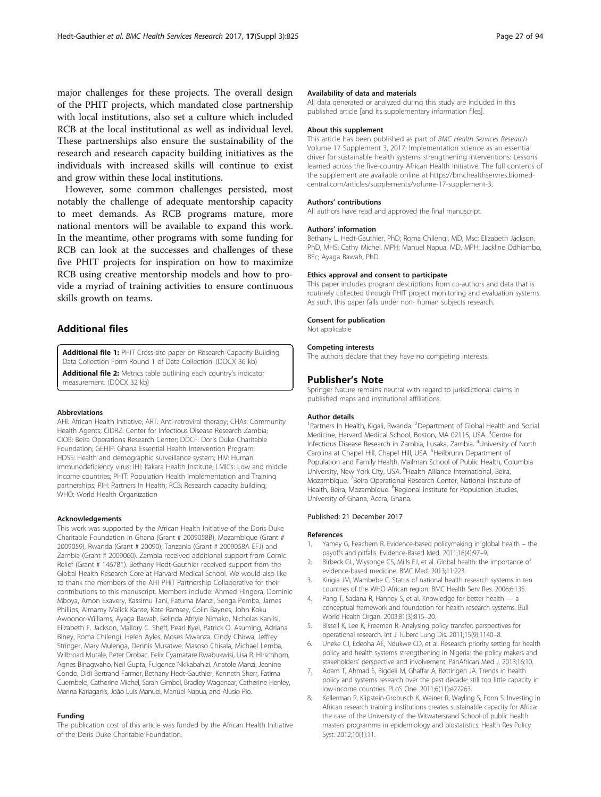<span id="page-10-0"></span>major challenges for these projects. The overall design of the PHIT projects, which mandated close partnership with local institutions, also set a culture which included RCB at the local institutional as well as individual level. These partnerships also ensure the sustainability of the research and research capacity building initiatives as the individuals with increased skills will continue to exist and grow within these local institutions.

However, some common challenges persisted, most notably the challenge of adequate mentorship capacity to meet demands. As RCB programs mature, more national mentors will be available to expand this work. In the meantime, other programs with some funding for RCB can look at the successes and challenges of these five PHIT projects for inspiration on how to maximize RCB using creative mentorship models and how to provide a myriad of training activities to ensure continuous skills growth on teams.

## Additional files

[Additional file 1:](dx.doi.org/10.1186/s12913-017-2657-6) PHIT Cross-site paper on Research Capacity Building Data Collection Form Round 1 of Data Collection. (DOCX 36 kb)

[Additional file 2:](dx.doi.org/10.1186/s12913-017-2657-6) Metrics table outlining each country's indicator measurement. (DOCX 32 kb)

#### Abbreviations

AHI: African Health Initiative; ART: Anti-retroviral therapy; CHAs: Community Health Agents; CIDRZ: Center for Infectious Disease Research Zambia; CIOB: Beira Operations Research Center; DDCF: Doris Duke Charitable Foundation; GEHIP: Ghana Essential Health Intervention Program; HDSS: Health and demographic surveillance system; HIV: Human immunodeficiency virus; IHI: Ifakara Health Institute; LMICs: Low and middle income countries; PHIT: Population Health Implementation and Training partnerships; PIH: Partners In Health; RCB: Research capacity building; WHO: World Health Organization

#### Acknowledgements

This work was supported by the African Health Initiative of the Doris Duke Charitable Foundation in Ghana (Grant # 2009058B), Mozambique (Grant # 2009059), Rwanda (Grant # 20090); Tanzania (Grant # 2009058A EFJ) and Zambia (Grant # 2009060). Zambia received additional support from Comic Relief (Grant # 146781). Bethany Hedt-Gauthier received support from the Global Health Research Core at Harvard Medical School. We would also like to thank the members of the AHI PHIT Partnership Collaborative for their contributions to this manuscript. Members include: Ahmed Hingora, Dominic Mboya, Amon Exavery, Kassimu Tani, Fatuma Manzi, Senga Pemba, James Phillips, Almamy Malick Kante, Kate Ramsey, Colin Baynes, John Koku Awoonor-Williams, Ayaga Bawah, Belinda Afriyie Nimako, Nicholas Kanlisi, Elizabeth F. Jackson, Mallory C. Sheff, Pearl Kyei, Patrick O. Asuming, Adriana Biney, Roma Chilengi, Helen Ayles, Moses Mwanza, Cindy Chirwa, Jeffrey Stringer, Mary Mulenga, Dennis Musatwe, Masoso Chisala, Michael Lemba, Wilbroad Mutale, Peter Drobac, Felix Cyamatare Rwabukwisi, Lisa R. Hirschhorn, Agnes Binagwaho, Neil Gupta, Fulgence Nkikabahizi, Anatole Manzi, Jeanine Condo, Didi Bertrand Farmer, Bethany Hedt-Gauthier, Kenneth Sherr, Fatima Cuembelo, Catherine Michel, Sarah Gimbel, Bradley Wagenaar, Catherine Henley, Marina Kariaganis, João Luis Manuel, Manuel Napua, and Alusio Pio.

#### Funding

The publication cost of this article was funded by the African Health Initiative of the Doris Duke Charitable Foundation.

#### Availability of data and materials

All data generated or analyzed during this study are included in this published article [and its supplementary information files].

#### About this supplement

This article has been published as part of BMC Health Services Research Volume 17 Supplement 3, 2017: Implementation science as an essential driver for sustainable health systems strengthening interventions: Lessons learned across the five-country African Health Initiative. The full contents of the supplement are available online at [https://bmchealthservres.biomed](https://bmchealthservres.biomedcentral.com/articles/supplements/volume-17-supplement-3)[central.com/articles/supplements/volume-17-supplement-3](https://bmchealthservres.biomedcentral.com/articles/supplements/volume-17-supplement-3).

#### Authors' contributions

All authors have read and approved the final manuscript.

#### Authors' information

Bethany L. Hedt-Gauthier, PhD; Roma Chilengi, MD, Msc; Elizabeth Jackson, PhD, MHS; Cathy Michel, MPH; Manuel Napua, MD, MPH; Jackline Odhiambo, BSc; Ayaga Bawah, PhD.

#### Ethics approval and consent to participate

This paper includes program descriptions from co-authors and data that is routinely collected through PHIT project monitoring and evaluation systems. As such, this paper falls under non- human subjects research.

#### Consent for publication

Not applicable

#### Competing interests

The authors declare that they have no competing interests.

#### Publisher's Note

Springer Nature remains neutral with regard to jurisdictional claims in published maps and institutional affiliations.

#### Author details

<sup>1</sup>Partners In Health, Kigali, Rwanda. <sup>2</sup>Department of Global Health and Social Medicine, Harvard Medical School, Boston, MA 02115, USA. <sup>3</sup>Centre for Infectious Disease Research in Zambia, Lusaka, Zambia. <sup>4</sup>University of North Carolina at Chapel Hill, Chapel Hill, USA. <sup>5</sup>Heilbrunn Department of Population and Family Health, Mailman School of Public Health, Columbia University, New York City, USA. <sup>6</sup> Health Alliance International, Beira, Mozambique. <sup>7</sup>Beira Operational Research Center, National Institute of Health, Beira, Mozambique. <sup>8</sup>Regional Institute for Population Studies University of Ghana, Accra, Ghana.

#### Published: 21 December 2017

#### References

- 1. Yamey G, Feachem R. Evidence-based policymaking in global health the payoffs and pitfalls. Evidence-Based Med. 2011;16(4):97–9.
- Birbeck GL, Wiysonge CS, Mills EJ, et al. Global health: the importance of evidence-based medicine. BMC Med. 2013;11:223.
- 3. Kirigia JM, Wambebe C. Status of national health research systems in ten countries of the WHO African region. BMC Health Serv Res. 2006;6:135.
- 4. Pang T, Sadana R, Hanney S, et al. Knowledge for better health a conceptual framework and foundation for health research systems. Bull World Health Organ. 2003;81(3):815–20.
- 5. Bissell K, Lee K, Freeman R. Analysing policy transfer: perspectives for operational research. Int J Tuberc Lung Dis. 2011;15(9):1140–8.
- 6. Uneke CJ, Edeoha AE, Ndukwe CD, et al. Research priority setting for health policy and health systems strengthening in Nigeria: the policy makers and stakeholders' perspective and involvement. PanAfrican Med J. 2013;16:10.
- 7. Adam T, Ahmad S, Bigdeli M, Ghaffar A, Røttingen JA. Trends in health policy and systems research over the past decade: still too little capacity in low-income countries. PLoS One. 2011;6(11):e27263.
- 8. Kellerman R, Klipstein-Grobusch K, Weiner R, Wayling S, Fonn S. Investing in African research training institutions creates sustainable capacity for Africa: the case of the University of the Witwatersrand School of public health masters programme in epidemiology and biostatistics. Health Res Policy Syst. 2012;10(1):11.